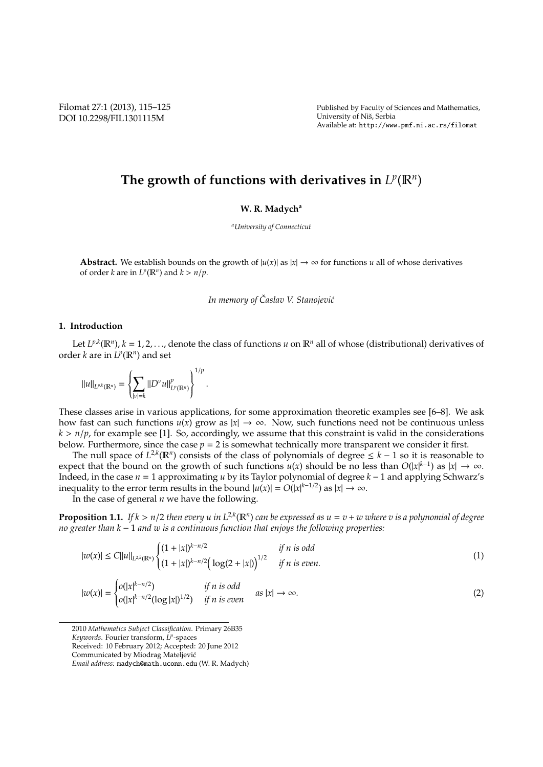Filomat 27:1 (2013), 115–125 DOI 10.2298/FIL1301115M

Published by Faculty of Sciences and Mathematics, University of Niš, Serbia Available at: http://www.pmf.ni.ac.rs/filomat

# The growth of functions with derivatives in  $L^p(\mathbb{R}^n)$

## **W. R. Madych<sup>a</sup>**

*<sup>a</sup>University of Connecticut*

**Abstract.** We establish bounds on the growth of  $|u(x)|$  as  $|x| \to \infty$  for functions *u* all of whose derivatives of order *k* are in  $L^p(\mathbb{R}^n)$  and  $k > n/p$ .

*In memory of Caslav V. Stanojevi´c ˇ*

## **1. Introduction**

Let  $L^{p,k}(\mathbb{R}^n)$ ,  $k = 1, 2, \ldots$ , denote the class of functions *u* on  $\mathbb{R}^n$  all of whose (distributional) derivatives of order *k* are in  $L^p(\mathbb{R}^n)$  and set

 $||u||_{L^{p,k}(\mathbb{R}^n)} =$  $\left\{ \right.$  $\overline{\mathcal{L}}$ ∑ |ν|=*k*  $\left\|D^{\nu}u\right\|_{I}^{p}$ *L p* (R*n*)  $\Big\}$ ſ 1/*p* .

These classes arise in various applications, for some approximation theoretic examples see [6–8]. We ask how fast can such functions  $u(x)$  grow as  $|x| \to \infty$ . Now, such functions need not be continuous unless  $k > n/p$ , for example see [1]. So, accordingly, we assume that this constraint is valid in the considerations below. Furthermore, since the case  $p = 2$  is somewhat technically more transparent we consider it first.

The null space of  $L^{2,k}(\mathbb{R}^n)$  consists of the class of polynomials of degree  $\leq k-1$  so it is reasonable to expect that the bound on the growth of such functions  $u(x)$  should be no less than  $O(|x|^{k-1})$  as  $|x| \to \infty$ . Indeed, in the case *n* = 1 approximating *u* by its Taylor polynomial of degree *k* − 1 and applying Schwarz's inequality to the error term results in the bound  $|u(x)| = O(|x|^{k-1/2})$  as  $|x| \to \infty$ .

In the case of general *n* we have the following.

**Proposition 1.1.** If  $k > n/2$  then every u in  $L^{2,k}(\mathbb{R}^n)$  can be expressed as  $u = v + w$  where  $v$  is a polynomial of degree *no greater than k* − 1 *and w is a continuous function that enjoys the following properties:*

$$
|w(x)| \le C||u||_{L^{2,k}(\mathbb{R}^n)} \begin{cases} (1+|x|)^{k-n/2} & \text{if } n \text{ is odd} \\ (1+|x|)^{k-n/2} \left(\log(2+|x|)\right)^{1/2} & \text{if } n \text{ is even.} \end{cases}
$$
(1)

$$
|w(x)| = \begin{cases} o(|x|^{k-n/2}) & \text{if } n \text{ is odd} \\ o(|x|^{k-n/2}(\log|x|)^{1/2}) & \text{if } n \text{ is even} \end{cases} \quad \text{as } |x| \to \infty. \tag{2}
$$

<sup>2010</sup> *Mathematics Subject Classification*. Primary 26B35

*Keywords*. Fourier transform, *L p* -spaces

Received: 10 February 2012; Accepted: 20 June 2012

Communicated by Miodrag Mateljevic´

*Email address:* madych@math.uconn.edu (W. R. Madych)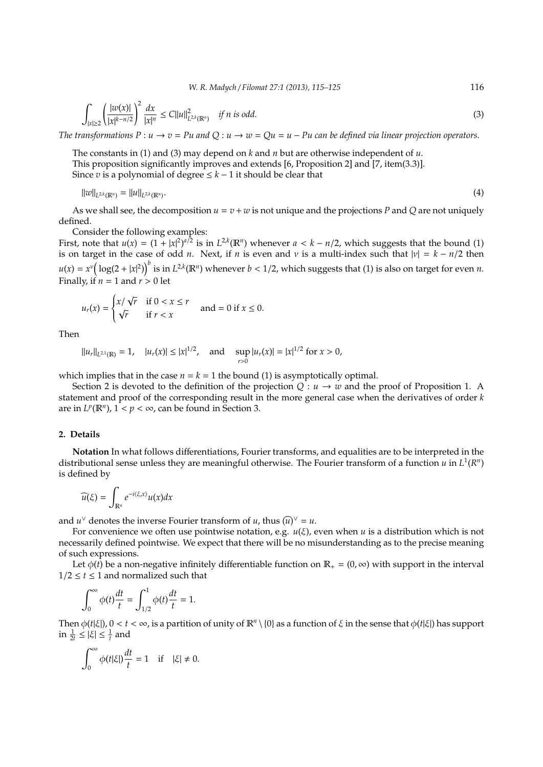*W. R. Madych* / *Filomat 27:1 (2013), 115–125* 116

$$
\int_{|x| \ge 2} \left( \frac{|w(x)|}{|x|^{k-n/2}} \right)^2 \frac{dx}{|x|^n} \le C ||u||^2_{L^{2,k}(\mathbb{R}^n)} \quad \text{if } n \text{ is odd.}
$$
 (3)

*The transformations*  $P : u \to v = Pu$  and  $Q : u \to w = Qu = u - Pu$  can be defined via linear projection operators.

The constants in (1) and (3) may depend on *k* and *n* but are otherwise independent of *u*. This proposition significantly improves and extends [6, Proposition 2] and [7, item(3.3)]. Since *v* is a polynomial of degree  $\leq k - 1$  it should be clear that

$$
||w||_{L^{2,k}(\mathbb{R}^n)} = ||u||_{L^{2,k}(\mathbb{R}^n)}.
$$
\n(4)

As we shall see, the decomposition  $u = v + w$  is not unique and the projections *P* and *Q* are not uniquely defined.

Consider the following examples:

First, note that  $u(x) = (1 + |x|^2)^{a/2}$  is in  $L^{2,k}(\mathbb{R}^n)$  whenever  $a < k - n/2$ , which suggests that the bound (1) is on target in the case of odd *n*. Next, if *n* is even and *v* is a multi-index such that  $|v| = k - n/2$  then  $u(x) = x^{\nu} \big( \log(2 + |x|^2) \big)^{\nu}$  is in  $L^{2,k}(\mathbb{R}^n)$  whenever  $b < 1/2$ , which suggests that (1) is also on target for even *n*. Finally, if  $n = 1$  and  $r > 0$  let

$$
u_r(x) = \begin{cases} x/\sqrt{r} & \text{if } 0 < x \le r \\ \sqrt{r} & \text{if } r < x \end{cases} \text{ and } = 0 \text{ if } x \le 0.
$$

Then

 $||u_r||_{L^{2,1}(\mathbb{R})} = 1$ ,  $|u_r(x)| \le |x|^{1/2}$ , and sup  $\sup_{r>0} |u_r(x)| = |x|^{1/2}$  for  $x > 0$ ,

which implies that in the case  $n = k = 1$  the bound (1) is asymptotically optimal.

Section 2 is devoted to the definition of the projection  $Q: u \to w$  and the proof of Proposition 1. A statement and proof of the corresponding result in the more general case when the derivatives of order *k* are in  $L^p(\mathbb{R}^n)$ ,  $1 < p < \infty$ , can be found in Section 3.

### **2. Details**

**Notation** In what follows differentiations, Fourier transforms, and equalities are to be interpreted in the distributional sense unless they are meaningful otherwise. The Fourier transform of a function  $u$  in  $L^1(R^n)$ is defined by

$$
\widehat{u(\xi)} = \int_{\mathbb{R}^n} e^{-i\langle \xi, x \rangle} u(x) dx
$$

and *u*<sup> $\vee$ </sup> denotes the inverse Fourier transform of *u*, thus  $(\widehat{u})^{\vee} = u$ .

For convenience we often use pointwise notation, e.g. *u*(ξ), even when *u* is a distribution which is not necessarily defined pointwise. We expect that there will be no misunderstanding as to the precise meaning of such expressions.

Let  $\phi(t)$  be a non-negative infinitely differentiable function on  $\mathbb{R}_+ = (0, \infty)$  with support in the interval  $1/2 \le t \le 1$  and normalized such that

$$
\int_0^\infty \phi(t) \frac{dt}{t} = \int_{1/2}^1 \phi(t) \frac{dt}{t} = 1.
$$

Then  $\phi(t|\xi|)$ ,  $0 < t < \infty$ , is a partition of unity of  $\mathbb{R}^n \setminus \{0\}$  as a function of  $\xi$  in the sense that  $\phi(t|\xi|)$  has support  $\inf \frac{1}{2t} \leq |\xi| \leq \frac{1}{t}$  and

$$
\int_0^\infty \phi(t|\xi|) \frac{dt}{t} = 1 \quad \text{if} \quad |\xi| \neq 0.
$$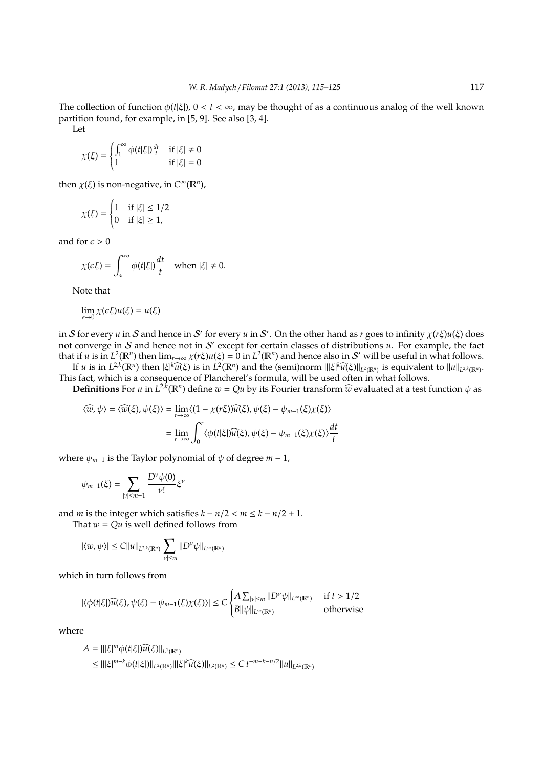The collection of function  $\phi(t|\xi|)$ ,  $0 < t < \infty$ , may be thought of as a continuous analog of the well known partition found, for example, in [5, 9]. See also [3, 4].

Let

$$
\chi(\xi) = \begin{cases} \int_1^\infty \phi(t|\xi) \frac{dt}{t} & \text{if } |\xi| \neq 0\\ 1 & \text{if } |\xi| = 0 \end{cases}
$$

then  $\chi(\xi)$  is non-negative, in  $C^{\infty}(\mathbb{R}^n)$ ,

$$
\chi(\xi) = \begin{cases} 1 & \text{if } |\xi| \le 1/2 \\ 0 & \text{if } |\xi| \ge 1, \end{cases}
$$

and for  $\epsilon > 0$ 

$$
\chi(\epsilon \xi) = \int_{\epsilon}^{\infty} \phi(t|\xi|) \frac{dt}{t} \quad \text{when } |\xi| \neq 0.
$$

Note that

$$
\lim_{\epsilon \to 0} \chi(\epsilon \xi) u(\xi) = u(\xi)
$$

in S for every *u* in S and hence in S' for every *u* in S'. On the other hand as *r* goes to infinity  $\chi(r\xi)u(\xi)$  does not converge in S and hence not in S ′ except for certain classes of distributions *u*. For example, the fact that if *u* is in  $L^2(\mathbb{R}^n)$  then  $\lim_{r\to\infty}\chi(r\xi)u(\xi)=0$  in  $L^2(\mathbb{R}^n)$  and hence also in S' will be useful in what follows.

If  $u$  is in  $L^{2k}(\mathbb{R}^n)$  then  $|\xi|^k \widehat{u}(\xi)$  is in  $L^2(\mathbb{R}^n)$  and the (semi)norm  $|||\xi|^k \widehat{u}(\xi)||_{L^2(\mathbb{R}^n)}$  is equivalent to  $||u||_{L^{2k}(\mathbb{R}^n)}$ . This fact, which is a consequence of Plancherel's formula, will be used often in what follows.

**Definitions** For *u* in  $L^{2,k}(\mathbb{R}^n)$  define  $w = Qu$  by its Fourier transform  $\widehat{w}$  evaluated at a test function  $\psi$  as

$$
\langle \widehat{w}, \psi \rangle = \langle \widehat{w}(\xi), \psi(\xi) \rangle = \lim_{r \to \infty} \langle (1 - \chi(r\xi))\widehat{u}(\xi), \psi(\xi) - \psi_{m-1}(\xi)\chi(\xi) \rangle
$$

$$
= \lim_{r \to \infty} \int_0^r \langle \phi(t|\xi) \widehat{u}(\xi), \psi(\xi) - \psi_{m-1}(\xi)\chi(\xi) \rangle \frac{dt}{t}
$$

where  $\psi_{m-1}$  is the Taylor polynomial of  $\psi$  of degree  $m-1$ ,

$$
\psi_{m-1}(\xi)=\sum_{|\nu|\leq m-1}\frac{D^\nu\psi(0)}{\nu!}\xi^\nu
$$

and *m* is the integer which satisfies  $k - n/2 < m \leq k - n/2 + 1$ .

That  $w = Qu$  is well defined follows from

$$
|\langle w,\psi\rangle|\leq C\|u\|_{L^{2,k}(\mathbb{R}^n)}\sum_{|\nu|\leq m}\|D^\nu\psi\|_{L^\infty(\mathbb{R}^n)}
$$

which in turn follows from

$$
|\langle \phi(t|\xi|)\widehat{u}(\xi), \psi(\xi) - \psi_{m-1}(\xi)\chi(\xi)\rangle| \le C \begin{cases} A \sum_{|\nu| \le m} ||D^{\nu}\psi||_{L^{\infty}(\mathbb{R}^n)} & \text{if } t > 1/2\\ B||\psi||_{L^{\infty}(\mathbb{R}^n)} & \text{otherwise} \end{cases}
$$

where

$$
A = |||\xi|^m \phi(t|\xi|)\widehat{u}(\xi)||_{L^1(\mathbb{R}^n)}
$$
  
\n
$$
\leq |||\xi|^{m-k} \phi(t|\xi|) ||_{L^2(\mathbb{R}^n)} |||\xi|^k \widehat{u}(\xi)||_{L^2(\mathbb{R}^n)} \leq C t^{-m+k-n/2} ||u||_{L^{2,k}(\mathbb{R}^n)}
$$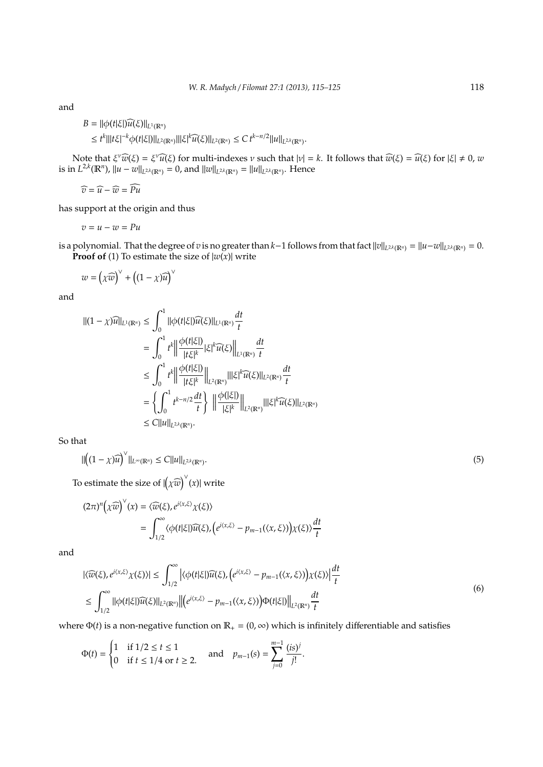and

$$
B = ||\phi(t|\xi|\widehat{u(\xi)}||_{L^1(\mathbb{R}^n)}
$$
  
\n
$$
\leq t^k|||t\xi|^{-k}\phi(t|\xi|)||_{L^2(\mathbb{R}^n)}|||\xi|^k\widehat{u(\xi)}||_{L^2(\mathbb{R}^n)} \leq C t^{k-n/2}||u||_{L^{2,k}(\mathbb{R}^n)}.
$$

Note that  $\xi^{\nu}\widehat{w}(\xi) = \xi^{\nu}\widehat{u}(\xi)$  for multi-indexes *ν* such that  $|\nu| = k$ . It follows that  $\widehat{w}(\xi) = \widehat{u}(\xi)$  for  $|\xi| \neq 0$ , *w*<br>  $\chi^2 k(\mathbb{R}^n)$ ,  $\lim_{\xi \to 0} \chi^{\nu}$  ,  $\lim_{\xi \to 0} \chi^{\nu}$  ,  $\lim_{\xi \to 0} \chi^{\nu}$ is in  $L^{2,k}(\mathbb{R}^n)$ ,  $||u - w||_{L^{2,k}(\mathbb{R}^n)} = 0$ , and  $||w||_{L^{2,k}(\mathbb{R}^n)} = ||u||_{L^{2,k}(\mathbb{R}^n)}$ . Hence

 $\widehat{v} = \widehat{u} - \widehat{w} = \widehat{Pu}$ 

has support at the origin and thus

$$
v=u-w=Pu
$$

is a polynomial. That the degree of *v* is no greater than *k*−1 follows from that fact  $||v||_{L^{2,k}(\mathbb{R}^n)} = ||u-w||_{L^{2,k}(\mathbb{R}^n)} = 0$ . **Proof of** (1) To estimate the size of  $|w(x)|$  write

 $w = (\chi \widehat{w})^{\vee} + ((1 - \chi)\widehat{u})^{\vee}$ 

and

$$
\begin{split} \|(1-\chi)\widehat{u}\|_{L^{1}(\mathbb{R}^{n})} &\leq \int_{0}^{1} \|\phi(t|\xi|)\widehat{u}(\xi)\|_{L^{1}(\mathbb{R}^{n})} \frac{dt}{t} \\ &= \int_{0}^{1} t^{k} \left\| \frac{\phi(t|\xi|)}{|t\xi|^{k}} |\xi|^{k} \widehat{u}(\xi) \right\|_{L^{1}(\mathbb{R}^{n})} \frac{dt}{t} \\ &\leq \int_{0}^{1} t^{k} \left\| \frac{\phi(t|\xi|)}{|t\xi|^{k}} \right\|_{L^{2}(\mathbb{R}^{n})} \|\xi|^{k} \widehat{u}(\xi)\|_{L^{2}(\mathbb{R}^{n})} \frac{dt}{t} \\ &= \left\{ \int_{0}^{1} t^{k-n/2} \frac{dt}{t} \right\} \left\| \frac{\phi(|\xi|)}{|\xi|^{k}} \right\|_{L^{2}(\mathbb{R}^{n})} \|\xi|^{k} \widehat{u}(\xi)\|_{L^{2}(\mathbb{R}^{n})} \\ &\leq C \|u\|_{L^{2k}(\mathbb{R}^{n})} .\end{split}
$$

So that

$$
\| \left( (1 - \chi) \widehat{u} \right)^{\vee} \|_{L^{\infty}(\mathbb{R}^n)} \leq C \| u \|_{L^{2,k}(\mathbb{R}^n)}.
$$
\n
$$
(5)
$$

To estimate the size of  $\left|\left(\chi \widehat{w}\right)^{\vee}(x)\right|$  write

$$
(2\pi)^n \big(\chi \widehat{w}\big)^{\vee}(x) = \langle \widehat{w}(\xi), e^{i\langle x, \xi \rangle} \chi(\xi) \rangle
$$
  
= 
$$
\int_{1/2}^{\infty} \langle \phi(t|\xi) \widehat{u}(\xi), (e^{i\langle x, \xi \rangle} - p_{m-1}(\langle x, \xi \rangle)) \chi(\xi) \rangle \frac{dt}{t}
$$

and

$$
|\langle \widehat{w}(\xi), e^{i\langle x,\xi\rangle}\chi(\xi)\rangle| \leq \int_{1/2}^{\infty} \left|\langle \phi(t|\xi)|\widehat{u}(\xi), \left(e^{i\langle x,\xi\rangle} - p_{m-1}(\langle x,\xi\rangle)\right)\chi(\xi)\rangle\right| \frac{dt}{t}
$$
  

$$
\leq \int_{1/2}^{\infty} ||\phi(t|\xi)|\widehat{u}(\xi)||_{L^{2}(\mathbb{R}^{n})} \left|\left|\left(e^{i\langle x,\xi\rangle} - p_{m-1}(\langle x,\xi\rangle)\right)\Phi(t|\xi)\right|\right|_{L^{2}(\mathbb{R}^{n})} \frac{dt}{t}
$$
 (6)

where  $\Phi(t)$  is a non-negative function on  $\mathbb{R}_+ = (0, \infty)$  which is infinitely differentiable and satisfies

$$
\Phi(t) = \begin{cases} 1 & \text{if } 1/2 \le t \le 1 \\ 0 & \text{if } t \le 1/4 \text{ or } t \ge 2. \end{cases} \quad \text{and} \quad p_{m-1}(s) = \sum_{j=0}^{m-1} \frac{(is)^j}{j!}.
$$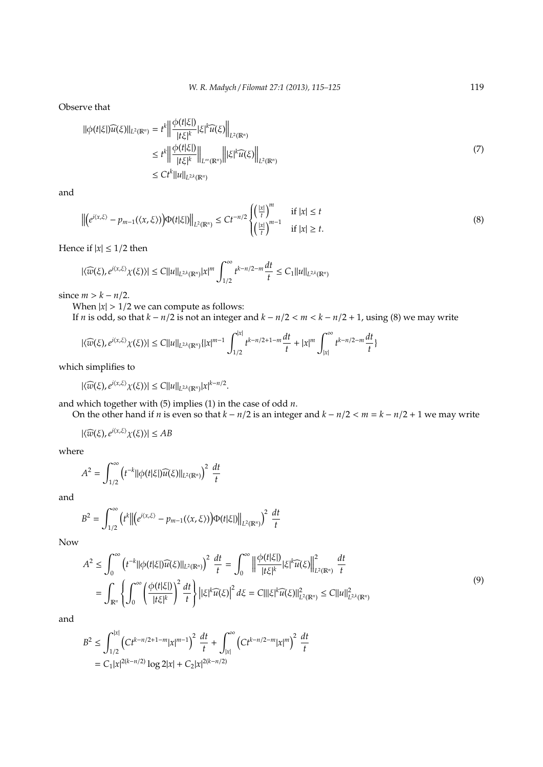Observe that

$$
\|\phi(t|\xi|\widehat{u(\xi)}\|_{L^{2}(\mathbb{R}^{n})} = t^{k} \Big\|\frac{\phi(t|\xi|)}{|t\xi|^{k}}|\xi|^{k}\widehat{u(\xi)}\Big\|_{L^{2}(\mathbb{R}^{n})}
$$
  
\n
$$
\leq t^{k} \Big\|\frac{\phi(t|\xi|)}{|t\xi|^{k}}\Big\|_{L^{\infty}(\mathbb{R}^{n})} \Big\||\xi|^{k}\widehat{u(\xi)}\Big\|_{L^{2}(\mathbb{R}^{n})}
$$
  
\n
$$
\leq Ct^{k} \|\mu\|_{L^{2,k}(\mathbb{R}^{n})}
$$
\n(7)

and

$$
\left\| \left( e^{i\langle x,\xi \rangle} - p_{m-1}(\langle x,\xi \rangle) \right) \Phi(t|\xi|) \right\|_{L^2(\mathbb{R}^n)} \leq Ct^{-n/2} \begin{cases} \left( \frac{|x|}{t} \right)^m & \text{if } |x| \leq t \\ \left( \frac{|x|}{t} \right)^{m-1} & \text{if } |x| \geq t. \end{cases} \tag{8}
$$

Hence if  $|x| \leq 1/2$  then

$$
|\langle \widehat{w}(\xi), e^{i\langle x, \xi \rangle} \chi(\xi) \rangle| \leq C \|u\|_{L^{2,k}(\mathbb{R}^n)} |x|^m \, \int_{1/2}^\infty t^{k-n/2-m} \frac{dt}{t} \leq C_1 \|u\|_{L^{2,k}(\mathbb{R}^n)}
$$

since  $m > k - n/2$ .

When  $|x| > 1/2$  we can compute as follows:

If *n* is odd, so that  $k - n/2$  is not an integer and  $k - n/2 < m < k - n/2 + 1$ , using (8) we may write

$$
|\langle \widehat{w}(\xi), e^{i\langle x,\xi\rangle}\chi(\xi)\rangle|\leq C\|u\|_{L^{2,k}(\mathbb{R}^n)}\{|x|^{m-1}\int_{1/2}^{|x|}t^{k-n/2+1-m}\frac{dt}{t}+|x|^m\int_{|x|}^\infty t^{k-n/2-m}\frac{dt}{t}\}
$$

which simplifies to

 $|\langle \widehat{w}(\xi), e^{i\langle x,\xi \rangle} \chi(\xi) \rangle| \leq C ||u||_{L^{2,k}(\mathbb{R}^n)} |x|^{k-n/2}.$ 

and which together with (5) implies (1) in the case of odd *n*.

On the other hand if *n* is even so that *k* − *n*/2 is an integer and *k* − *n*/2 < *m* = *k* − *n*/2 + 1 we may write

 $|\langle \widehat{w}(\xi), e^{i\langle x,\xi \rangle} \chi(\xi) \rangle| \le AB$ 

where

$$
A^{2} = \int_{1/2}^{\infty} \left( t^{-k} ||\phi(t|\xi|) \widehat{u(\xi)}||_{L^{2}(\mathbb{R}^{n})} \right)^{2} \frac{dt}{t}
$$

and

$$
B^{2} = \int_{1/2}^{\infty} (t^{k} \left\| \left( e^{i\langle x,\xi \rangle} - p_{m-1}(\langle x,\xi \rangle) \right) \Phi(t|\xi) \right\|_{L^{2}(\mathbb{R}^{n})} \right)^{2} \frac{dt}{t}
$$

Now

$$
A^{2} \leq \int_{0}^{\infty} \left( t^{-k} ||\phi(t|\xi|) \widehat{u(\xi)}||_{L^{2}(\mathbb{R}^{n})} \right)^{2} \frac{dt}{t} = \int_{0}^{\infty} \left\| \frac{\phi(t|\xi|)}{|t\xi|^{k}} |\xi|^{k} \widehat{u(\xi)} \right\|_{L^{2}(\mathbb{R}^{n})}^{2} \frac{dt}{t}
$$
  

$$
= \int_{\mathbb{R}^{n}} \left\{ \int_{0}^{\infty} \left( \frac{\phi(t|\xi|)}{|t\xi|^{k}} \right)^{2} \frac{dt}{t} \right\} \left| |\xi|^{k} \widehat{u(\xi)} \right|^{2} d\xi = C |||\xi|^{k} \widehat{u(\xi)}||_{L^{2}(\mathbb{R}^{n})}^{2} \leq C ||u||_{L^{2,k}(\mathbb{R}^{n})}^{2}
$$
(9)

and

$$
B^{2} \leq \int_{1/2}^{|x|} \left( Ct^{k-n/2+1-m} |x|^{m-1} \right)^{2} \frac{dt}{t} + \int_{|x|}^{\infty} \left( Ct^{k-n/2-m} |x|^{m} \right)^{2} \frac{dt}{t}
$$
  
=  $C_{1}|x|^{2(k-n/2)} \log 2|x| + C_{2}|x|^{2(k-n/2)}$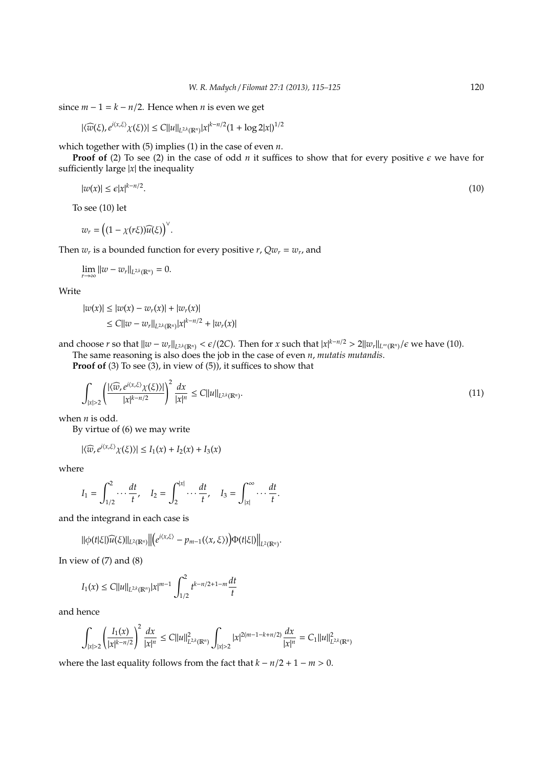since  $m - 1 = k - n/2$ . Hence when *n* is even we get

$$
|\langle \widehat{w}(\xi), e^{i\langle x,\xi\rangle}\chi(\xi)\rangle|\leq C\|u\|_{L^{2,k}(\mathbb{R}^n)}|x|^{k-n/2}(1+\log2|x|)^{1/2}
$$

which together with (5) implies (1) in the case of even *n*.

**Proof of** (2) To see (2) in the case of odd *n* it suffices to show that for every positive  $\epsilon$  we have for sufficiently large  $|x|$  the inequality

$$
|w(x)| \le \epsilon |x|^{k-n/2}.\tag{10}
$$

To see (10) let

$$
w_r = \big((1-\chi(r\xi))\widehat{u(\xi)}\big)^{\vee}.
$$

Then  $w_r$  is a bounded function for every positive  $r$ ,  $Qw_r = w_r$ , and

 $\lim_{r \to \infty} ||w - w_r||_{L^{2,k}(\mathbb{R}^n)} = 0.$ 

Write

$$
|w(x)| \le |w(x) - w_r(x)| + |w_r(x)|
$$
  
\n
$$
\le C||w - w_r||_{L^{2,k}(\mathbb{R}^n)}|x|^{k-n/2} + |w_r(x)|
$$

and choose *r* so that  $||w - w_r||_{L^{2k}(\mathbb{R}^n)} < \epsilon/(2C)$ . Then for *x* such that  $|x|^{k-n/2} > 2||w_r||_{L^{\infty}(\mathbb{R}^n)}/\epsilon$  we have (10).

The same reasoning is also does the job in the case of even *n*, *mutatis mutandis*.

**Proof of** (3) To see (3), in view of (5)), it suffices to show that

$$
\int_{|x|>2} \left(\frac{|\langle \widehat{w}, e^{i\langle x,\xi\rangle}\chi(\xi)\rangle|}{|x|^{k-n/2}}\right)^2 \frac{dx}{|x|^n} \le C||u||_{L^{2,k}(\mathbb{R}^n)}.
$$
\n(11)

when *n* is odd.

By virtue of (6) we may write

$$
|\langle \widehat{w}, e^{i\langle x,\xi \rangle} \chi(\xi) \rangle| \leq I_1(x) + I_2(x) + I_3(x)
$$

where

$$
I_1 = \int_{1/2}^2 \cdots \frac{dt}{t}, \quad I_2 = \int_2^{|x|} \cdots \frac{dt}{t}, \quad I_3 = \int_{|x|}^{\infty} \cdots \frac{dt}{t}.
$$

and the integrand in each case is

$$
\|\phi(t|\xi|\widehat{u(\xi)}\|_{L^2(\mathbb{R}^n)}\big\|\big(e^{i\langle x,\xi\rangle}-p_{m-1}(\langle x,\xi\rangle)\big)\Phi(t|\xi|\big)\big\|_{L^2(\mathbb{R}^n)}.
$$

In view of  $(7)$  and  $(8)$ 

$$
I_1(x) \le C||u||_{L^{2,k}(\mathbb{R}^n)}|x|^{m-1} \int_{1/2}^2 t^{k-n/2+1-m} \frac{dt}{t}
$$

and hence

$$
\int_{|x|>2} \left(\frac{I_1(x)}{|x|^{k-n/2}}\right)^2 \frac{dx}{|x|^n} \leq C||u||^2_{L^{2,k}(\mathbb{R}^n)} \int_{|x|>2} |x|^{2(m-1-k+n/2)} \frac{dx}{|x|^n} = C_1 ||u||^2_{L^{2,k}(\mathbb{R}^n)}
$$

where the last equality follows from the fact that  $k - n/2 + 1 - m > 0$ .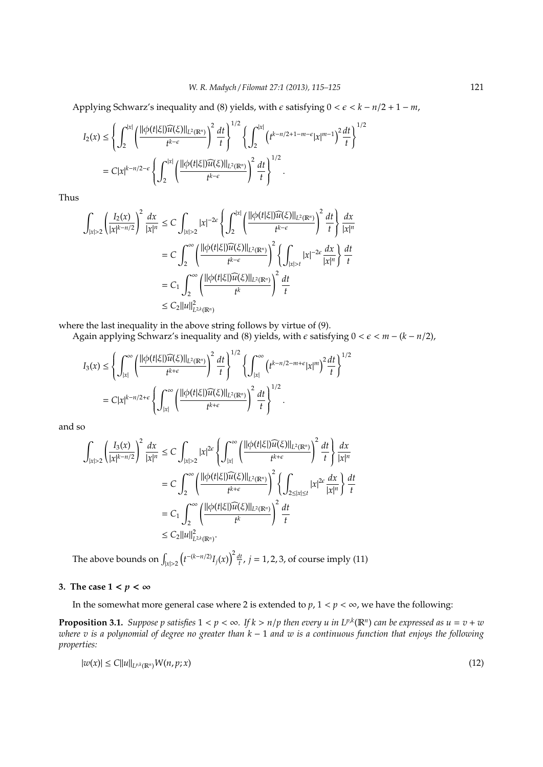Applying Schwarz's inequality and (8) yields, with  $\epsilon$  satisfying  $0 < \epsilon < k - n/2 + 1 - m$ ,

$$
I_2(x) \leq \left\{ \int_2^{|x|} \left( \frac{\|\phi(t|\xi)\widehat{u(\xi)}\|_{L^2(\mathbb{R}^n)}}{t^{k-\epsilon}} \right)^2 \frac{dt}{t} \right\}^{1/2} \left\{ \int_2^{|x|} \left( t^{k-n/2+1-m-\epsilon} |x|^{m-1} \right)^2 \frac{dt}{t} \right\}^{1/2}
$$
  
=  $C|x|^{k-n/2-\epsilon} \left\{ \int_2^{|x|} \left( \frac{\|\phi(t|\xi)\widehat{u(\xi)}\|_{L^2(\mathbb{R}^n)}}{t^{k-\epsilon}} \right)^2 \frac{dt}{t} \right\}^{1/2}.$ 

Thus

$$
\int_{|x|>2} \left(\frac{I_2(x)}{|x|^{k-n/2}}\right)^2 \frac{dx}{|x|^n} \leq C \int_{|x|>2} |x|^{-2\epsilon} \left\{ \int_2^{|x|} \left(\frac{||\phi(t|\xi|)\widehat{u(\xi)}||_{L^2(\mathbb{R}^n)}}{t^{k-\epsilon}}\right)^2 \frac{dt}{t} \right\} \frac{dx}{|x|^n}
$$

$$
= C \int_2^{\infty} \left(\frac{||\phi(t|\xi|)\widehat{u(\xi)}||_{L^2(\mathbb{R}^n)}}{t^{k-\epsilon}}\right)^2 \left\{ \int_{|x|>t} |x|^{-2\epsilon} \frac{dx}{|x|^n} \right\} \frac{dt}{t}
$$

$$
= C_1 \int_2^{\infty} \left(\frac{||\phi(t|\xi|)\widehat{u(\xi)}||_{L^2(\mathbb{R}^n)}}{t^k}\right)^2 \frac{dt}{t}
$$

$$
\leq C_2 ||u||_{L^{2k}(\mathbb{R}^n)}^2
$$

where the last inequality in the above string follows by virtue of (9).

Again applying Schwarz's inequality and (8) yields, with  $\epsilon$  satisfying  $0 < \epsilon < m - (k - n/2)$ ,

$$
I_3(x) \leq \left\{ \int_{|x|}^{\infty} \left( \frac{\|\phi(t|\xi)\widetilde{u}(\xi)\|_{L^2(\mathbb{R}^n)}}{t^{k+\epsilon}} \right)^2 \frac{dt}{t} \right\}^{1/2} \left\{ \int_{|x|}^{\infty} \left( t^{k-n/2-m+\epsilon} |x|^m \right)^2 \frac{dt}{t} \right\}^{1/2}
$$
  
=  $C|x|^{k-n/2+\epsilon} \left\{ \int_{|x|}^{\infty} \left( \frac{\|\phi(t|\xi)\widetilde{u}(\xi)\|_{L^2(\mathbb{R}^n)}}{t^{k+\epsilon}} \right)^2 \frac{dt}{t} \right\}^{1/2}.$ 

and so

$$
\int_{|x|>2} \left(\frac{I_3(x)}{|x|^{k-n/2}}\right)^2 \frac{dx}{|x|^n} \leq C \int_{|x|>2} |x|^{2\epsilon} \left\{ \int_{|x|}^{\infty} \left(\frac{||\phi(t|\xi|)\widehat{u(\xi)}||_{L^2(\mathbb{R}^n)}}{t^{k+\epsilon}}\right)^2 \frac{dt}{t} \right\} \frac{dx}{|x|^n}
$$

$$
= C \int_2^{\infty} \left(\frac{||\phi(t|\xi|)\widehat{u(\xi)}||_{L^2(\mathbb{R}^n)}}{t^{k+\epsilon}}\right)^2 \left\{ \int_{2 \le |x| \le t} |x|^{2\epsilon} \frac{dx}{|x|^n} \right\} \frac{dt}{t}
$$

$$
= C_1 \int_2^{\infty} \left(\frac{||\phi(t|\xi|)\widehat{u(\xi)}||_{L^2(\mathbb{R}^n)}}{t^k}\right)^2 \frac{dt}{t}
$$

$$
\leq C_2 ||u||^2_{L^2(k(\mathbb{R}^n)}.
$$

The above bounds on  $\int_{|x|>2} (t^{-(k-n/2)}I_j(x))^2 \frac{dt}{t}$ ,  $j = 1, 2, 3$ , of course imply (11)

## **3.** The case  $1 < p < \infty$

In the somewhat more general case where 2 is extended to  $p$ ,  $1 < p < \infty$ , we have the following:

**Proposition 3.1.** Suppose p satisfies  $1 < p < \infty$ . If  $k > n/p$  then every u in  $L^{p,k}(\mathbb{R}^n)$  can be expressed as  $u = v + w$ *where v is a polynomial of degree no greater than k* − 1 *and w is a continuous function that enjoys the following properties:*

$$
|w(x)| \leq C||u||_{L^{p,k}(\mathbb{R}^n)}W(n,p;x) \tag{12}
$$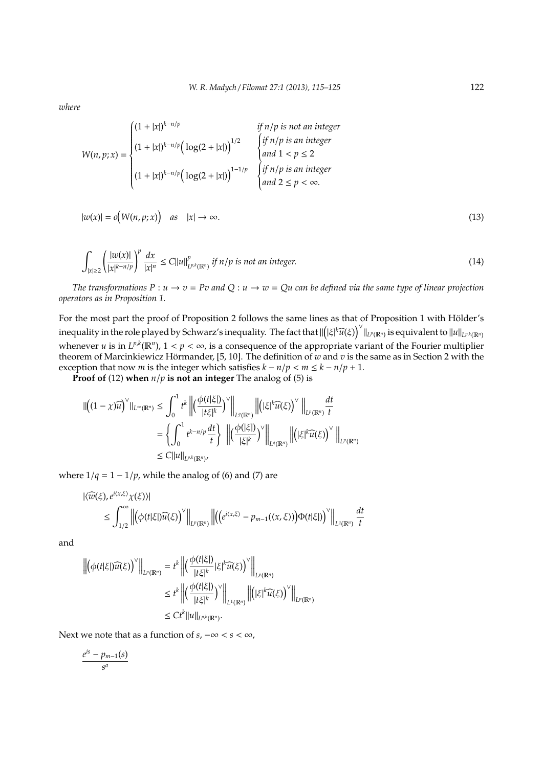*where*

$$
W(n, p; x) = \begin{cases} (1+|x|)^{k-n/p} & \text{if } n/p \text{ is not an integer} \\ (1+|x|)^{k-n/p} \Big(\log(2+|x|)\Big)^{1/2} & \begin{cases} \text{if } n/p \text{ is an integer} \\ \text{and } 1 < p \le 2 \end{cases} \\ (1+|x|)^{k-n/p} \Big(\log(2+|x|)\Big)^{1-1/p} & \begin{cases} \text{if } n/p \text{ is an integer} \\ \text{and } 1 < p \le 2 \end{cases} \\ \text{and } 2 \le p < \infty. \end{cases}
$$

$$
|w(x)| = o(N(n, p; x)) \quad \text{as} \quad |x| \to \infty. \tag{13}
$$

$$
\int_{|x|\geq 2} \left(\frac{|w(x)|}{|x|^{k-n/p}}\right)^p \frac{dx}{|x|^n} \leq C||u||_{L^{p,k}(\mathbb{R}^n)}^p \text{ if } n/p \text{ is not an integer.} \tag{14}
$$

*The transformations*  $P: u \to v = Pv$  and  $Q: u \to w = Qu$  can be defined via the same type of linear projection *operators as in Proposition 1.*

For the most part the proof of Proposition 2 follows the same lines as that of Proposition 1 with Hölder's inequality in the role played by Schwarz's inequality. The fact that  $\|([\xi]^k \widehat{u}(\xi))^{\vee}\|_{L^p(\mathbb{R}^n)}$  is equivalent to  $\|u\|_{L^{p,k}(\mathbb{R}^n)}$ whenever *u* is in  $L^{p,k}(\mathbb{R}^n)$ ,  $1 < p < \infty$ , is a consequence of the appropriate variant of the Fourier multiplier theorem of Marcinkiewicz Hörmander, [5, 10]. The definition of  $w$  and  $v$  is the same as in Section 2 with the exception that now *m* is the integer which satisfies  $k - n/p < m \leq k - n/p + 1$ .

**Proof of** (12) **when** *n*/*p* **is not an integer** The analog of (5) is

$$
\begin{split} \|\left((1-\chi)\widehat{u}\right)^{\vee}\|_{L^{\infty}(\mathbb{R}^{n})} &\leq \int_{0}^{1} t^{k} \left\|\left(\frac{\phi(t|\xi|)}{|t\xi|^{k}}\right)^{\vee}\right\|_{L^{q}(\mathbb{R}^{n})} \left\|\left(|\xi|^{k}\widehat{u}(\xi)\right)^{\vee}\right\|_{L^{p}(\mathbb{R}^{n})} \frac{dt}{t} \\ &=\left\{\int_{0}^{1} t^{k-n/p} \frac{dt}{t}\right\} \left\|\left(\frac{\phi(|\xi|)}{|\xi|^{k}}\right)^{\vee}\right\|_{L^{q}(\mathbb{R}^{n})} \left\|\left(|\xi|^{k}\widehat{u}(\xi)\right)^{\vee}\right\|_{L^{p}(\mathbb{R}^{n})} \\ &\leq C \|u\|_{L^{p,k}(\mathbb{R}^{n})}, \end{split}
$$

where  $1/q = 1 - 1/p$ , while the analog of (6) and (7) are

$$
|\langle \widehat{w}(\xi), e^{i\langle x,\xi\rangle}\chi(\xi)\rangle|
$$
  
\n
$$
\leq \int_{1/2}^{\infty} \left\| \left( \phi(t|\xi|) \widehat{u}(\xi) \right)^{\vee} \right\|_{L^{p}(\mathbb{R}^{n})} \left\| \left( \left( e^{i\langle x,\xi\rangle} - p_{m-1}(\langle x,\xi\rangle) \right) \Phi(t|\xi|) \right)^{\vee} \right\|_{L^{q}(\mathbb{R}^{n})} \frac{dt}{t}
$$

and

$$
\left\| \left( \phi(t|\xi|) \widehat{u}(\xi) \right)^{\vee} \right\|_{L^{p}(\mathbb{R}^{n})} = t^{k} \left\| \left( \frac{\phi(t|\xi|)}{|t\xi|^{k}} |\xi|^{k} \widehat{u}(\xi) \right)^{\vee} \right\|_{L^{p}(\mathbb{R}^{n})}
$$
  

$$
\leq t^{k} \left\| \left( \frac{\phi(t|\xi|)}{|t\xi|^{k}} \right)^{\vee} \right\|_{L^{1}(\mathbb{R}^{n})} \left\| \left( |\xi|^{k} \widehat{u}(\xi) \right)^{\vee} \right\|_{L^{p}(\mathbb{R}^{n})}
$$
  

$$
\leq Ct^{k} \|u\|_{L^{p,k}(\mathbb{R}^{n})}.
$$

Next we note that as a function of  $s, -\infty < s < \infty$ ,

$$
\frac{e^{is}-p_{m-1}(s)}{s^a}
$$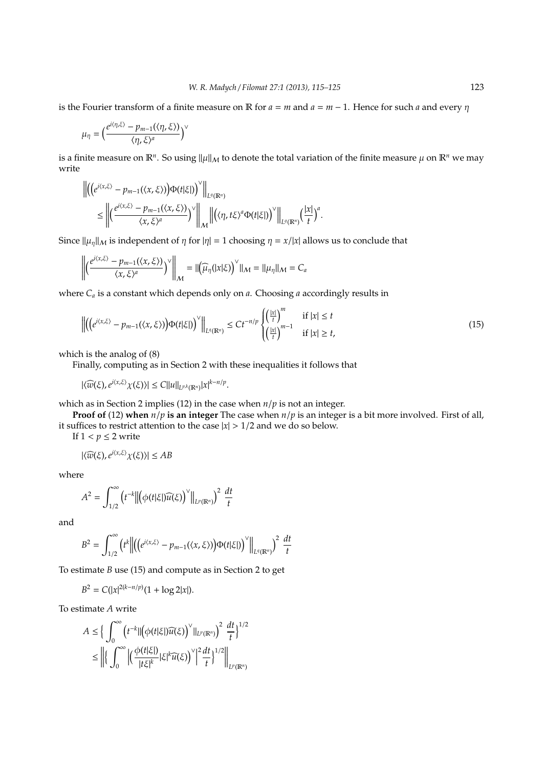is the Fourier transform of a finite measure on R for  $a = m$  and  $a = m - 1$ . Hence for such a and every  $\eta$ 

$$
\mu_{\eta} = \Big(\frac{e^{i\langle \eta,\xi\rangle} - p_{m-1}(\langle \eta,\xi\rangle)}{\langle \eta,\xi\rangle^a}\Big)^{\vee}
$$

is a finite measure on  $\mathbb{R}^n$ . So using  $\|\mu\|_\mathcal{M}$  to denote the total variation of the finite measure  $\mu$  on  $\mathbb{R}^n$  we may write

$$
\begin{split} \left\| \left( \left( e^{i\langle x,\xi\rangle} - p_{m-1}(\langle x,\xi\rangle) \right) \Phi(t|\xi|) \right)^\vee \right\|_{L^q(\mathbb{R}^n)} \\ &\leq \left\| \left( \frac{e^{i\langle x,\xi\rangle} - p_{m-1}(\langle x,\xi\rangle)}{\langle x,\xi\rangle^a} \right)^\vee \right\|_{\mathcal{M}} \left\| \left( \langle \eta,t\xi\rangle^a \Phi(t|\xi|) \right)^\vee \right\|_{L^q(\mathbb{R}^n)} \left( \frac{|x|}{t} \right)^a. \end{split}
$$

Since  $\|\mu_n\|_M$  is independent of  $\eta$  for  $|\eta| = 1$  choosing  $\eta = x/|x|$  allows us to conclude that

$$
\left\| \left( \frac{e^{i\langle x,\xi\rangle} - p_{m-1}(\langle x,\xi\rangle)}{\langle x,\xi\rangle^a} \right)^{\vee} \right\|_{\mathcal{M}} = \| \left( \widehat{\mu}_{\eta}(|x|\xi) \right)^{\vee} \|_{\mathcal{M}} = \| \mu_{\eta} \|_{\mathcal{M}} = C_a
$$

where *C<sup>a</sup>* is a constant which depends only on *a*. Choosing *a* accordingly results in

$$
\left\| \left( \left( e^{i\langle x,\xi \rangle} - p_{m-1}(\langle x,\xi \rangle) \right) \Phi(t|\xi|) \right)^{\vee} \right\|_{L^{q}(\mathbb{R}^{n})} \leq Ct^{-n/p} \begin{cases} \left( \frac{|\mathbf{x}|}{t} \right)^{m} & \text{if } |\mathbf{x}| \leq t \\ \left( \frac{|\mathbf{x}|}{t} \right)^{m-1} & \text{if } |\mathbf{x}| \geq t, \end{cases}
$$
(15)

which is the analog of (8)

Finally, computing as in Section 2 with these inequalities it follows that

 $|\langle \widehat{w}(\xi), e^{i\langle x,\xi \rangle} \chi(\xi) \rangle| \leq C ||u||_{L^{p,k}(\mathbb{R}^n)} |x|^{k-n/p}.$ 

which as in Section 2 implies (12) in the case when *n*/*p* is not an integer.

**Proof of** (12) **when** *n*/*p* **is an integer** The case when *n*/*p* is an integer is a bit more involved. First of all, it suffices to restrict attention to the case  $|x| > 1/2$  and we do so below.

If  $1 < p \leq 2$  write

$$
|\langle \widehat{w}(\xi), e^{i\langle x,\xi\rangle}\chi(\xi)\rangle| \le AB
$$

where

$$
A^{2} = \int_{1/2}^{\infty} \left( t^{-k} \left\| \left( \phi(t|\xi|) \widehat{u(\xi)} \right)^{\vee} \right\|_{L^{p}(\mathbb{R}^{n})} \right)^{2} \frac{dt}{t}
$$

and

$$
B^{2} = \int_{1/2}^{\infty} (t^{k} \left\| \left( \left( e^{i\langle x,\xi \rangle} - p_{m-1}(\langle x,\xi \rangle) \right) \Phi(t|\xi) \right)^{\vee} \right\|_{L^{q}(\mathbb{R}^{n})} \right)^{2} \frac{dt}{t}
$$

To estimate *B* use (15) and compute as in Section 2 to get

 $B^2 = C(|x|^{2(k-n/p)}(1 + \log 2|x|).$ 

To estimate *A* write

$$
\begin{aligned} A &\leq \Big\{ \int_0^\infty \Big(t^{-k} \| \big( \phi(t|\xi|) \widehat u(\xi) \Big)^\vee \|_{L^p(\mathbb{R}^n)} \Big)^2 \, \frac{dt}{t} \Big\}^{1/2} \\ &\leq \left\| \Big\{ \int_0^\infty \Big| \Big( \frac{\phi(t|\xi|)}{|t\xi|^k} |\xi|^k \widehat u(\xi) \Big)^\vee \Big|^2 \frac{dt}{t} \Big\}^{1/2} \right\|_{L^p(\mathbb{R}^n)} \end{aligned}
$$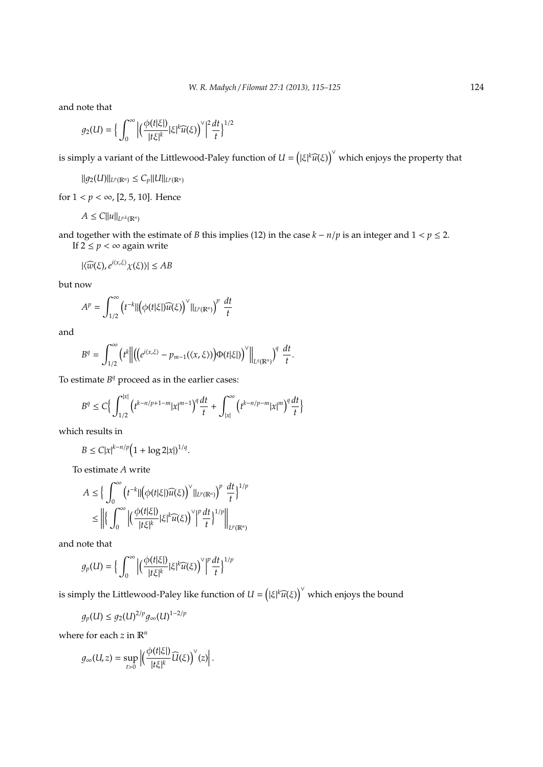and note that

$$
g_2(U)=\Big\{\int_0^\infty \Big|\Big(\frac{\phi(t|\xi|)}{|t\xi|^k}|\xi|^k\widehat{u(\xi)}\Big)^\vee\Big|^2\frac{dt}{t}\Big\}^{1/2}
$$

is simply a variant of the Littlewood-Paley function of  $U = (|\xi|^k \widehat{u}(\xi))^{\vee}$  which enjoys the property that

$$
||g_2(U)||_{L^p(\mathbb{R}^n)} \leq C_p ||U||_{L^p(\mathbb{R}^n)}
$$

for  $1 < p < \infty$ , [2, 5, 10]. Hence

$$
A\leq C||u||_{L^{p,k}(\mathbb{R}^n)}
$$

and together with the estimate of *B* this implies (12) in the case  $k - n/p$  is an integer and  $1 < p \le 2$ . If  $2 \leq p < \infty$  again write

$$
|\langle \widehat{w}(\xi), e^{i\langle x,\xi\rangle}\chi(\xi)\rangle| \le AB
$$

but now

$$
A^{p} = \int_{1/2}^{\infty} \left( t^{-k} \| \left( \phi(t|\xi|) \widehat{u(\xi)} \right)^{\vee} \|_{L^{p}(\mathbb{R}^{n})} \right)^{p} \frac{dt}{t}
$$

and

$$
B^{q} = \int_{1/2}^{\infty} (t^{k} \left\| \left( \left( e^{i \langle x, \xi \rangle} - p_{m-1}(\langle x, \xi \rangle) \right) \Phi(t|\xi) \right)^{\vee} \right\|_{L^{q}(\mathbb{R}^{n})} \right)^{q} \frac{dt}{t}.
$$

To estimate  $B<sup>q</sup>$  proceed as in the earlier cases:

$$
B^{q} \leq C \Big\{ \int_{1/2}^{|x|} \left( t^{k-n/p+1-m} |x|^{m-1} \right)^{q} \frac{dt}{t} + \int_{|x|}^{\infty} \left( t^{k-n/p-m} |x|^{m} \right)^{q} \frac{dt}{t} \Big\}
$$

which results in

 $B \le C|x|^{k-n/p} \big(1 + \log 2|x|\big)^{1/q}.$ 

To estimate *A* write

$$
A \leq \Big\{ \int_0^{\infty} \left( t^{-k} || \left( \phi(t|\xi|) \widehat{u(\xi)} \right)^{\vee} ||_{L^p(\mathbb{R}^n)} \right)^p \frac{dt}{t} \Big\}^{1/p}
$$
  

$$
\leq \left\| \left\{ \int_0^{\infty} \left| \left( \frac{\phi(t|\xi|)}{|t\xi|^k} |\xi|^k \widehat{u(\xi)} \right)^{\vee} \right|^p \frac{dt}{t} \right\}^{1/p} \right\|_{L^p(\mathbb{R}^n)}
$$

and note that

$$
g_p(U) = \Big\{\int_0^\infty \Big|\Big(\frac{\phi(t|\xi|)}{|t\xi|^k}|\xi|^k\widehat{u(\xi)}\Big)^\vee\Big|^p\frac{dt}{t}\Big\}^{1/p}
$$

is simply the Littlewood-Paley like function of  $U = \left(|\xi|^k \widehat{u}(\xi)\right)^\vee$  which enjoys the bound

$$
g_p(U) \leq g_2(U)^{2/p} g_\infty(U)^{1-2/p}
$$

where for each *z* in R*<sup>n</sup>*

$$
g_{\infty}(U, z) = \sup_{t>0} \left| \left( \frac{\phi(t|\xi|)}{|t\xi|^k} \widehat{U}(\xi) \right)^{\vee}(z) \right|.
$$